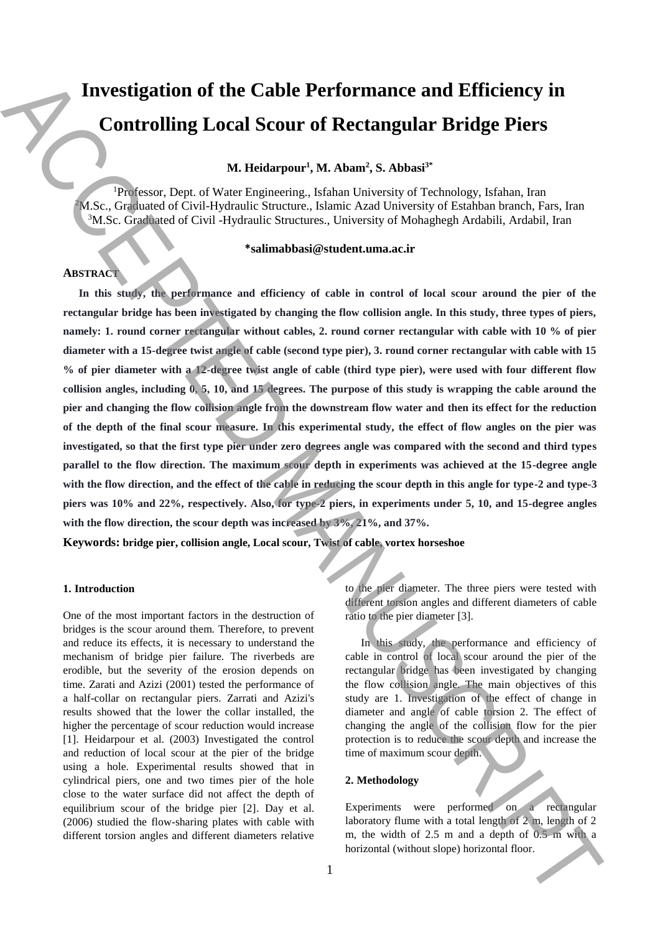# **Investigation of the Cable Performance and Efficiency in Controlling Local Scour of Rectangular Bridge Piers**

# **M. Heidarpour<sup>1</sup> , M. Abam<sup>2</sup> , S. Abbasi3\***

<sup>1</sup>Professor, Dept. of Water Engineering., Isfahan University of Technology, Isfahan, Iran <sup>2</sup>M.Sc., Graduated of Civil-Hydraulic Structure., Islamic Azad University of Estahban branch, Fars, Iran <sup>3</sup>M.Sc. Graduated of Civil -Hydraulic Structures., University of Mohaghegh Ardabili, Ardabil, Iran

## **\*salimabbasi@student.uma.ac.ir**

# **ABSTRACT**

In this study, the performance and efficiency of cable in control of local scour around the pier of the **rectangular bridge has been investigated by changing the flow collision angle. In this study, three types of piers, namely: 1. round corner rectangular without cables, 2. round corner rectangular with cable with 10 % of pier diameter with a 15-degree twist angle of cable (second type pier), 3. round corner rectangular with cable with 15 % of pier diameter with a 12-degree twist angle of cable (third type pier), were used with four different flow collision angles, including 0, 5, 10, and 15 degrees. The purpose of this study is wrapping the cable around the pier and changing the flow collision angle from the downstream flow water and then its effect for the reduction of the depth of the final scour measure. In this experimental study, the effect of flow angles on the pier was investigated, so that the first type pier under zero degrees angle was compared with the second and third types parallel to the flow direction. The maximum scour depth in experiments was achieved at the 15-degree angle with the flow direction, and the effect of the cable in reducing the scour depth in this angle for type-2 and type-3 piers was 10% and 22%, respectively. Also, for type-2 piers, in experiments under 5, 10, and 15-degree angles with the flow direction, the scour depth was increased by 3%, 21%, and 37%.** Investigation of the Cable Performance and RTiciency in<br>
Controlling Local Scours of Rectangular Bridge Piers<br>
Controlling Local Scours is a state of the state of the state of the state of the<br>
Nixo Consent of the State o

**Keywords: bridge pier, collision angle, Local scour, Twist of cable, vortex horseshoe**

## **1. Introduction**

One of the most important factors in the destruction of bridges is the scour around them. Therefore, to prevent and reduce its effects, it is necessary to understand the mechanism of bridge pier failure. The riverbeds are erodible, but the severity of the erosion depends on time. Zarati and Azizi (2001) tested the performance of a half-collar on rectangular piers. Zarrati and Azizi's results showed that the lower the collar installed, the higher the percentage of scour reduction would increase [1]. Heidarpour et al. (2003) Investigated the control and reduction of local scour at the pier of the bridge using a hole. Experimental results showed that in cylindrical piers, one and two times pier of the hole close to the water surface did not affect the depth of equilibrium scour of the bridge pier [2]. Day et al. (2006) studied the flow-sharing plates with cable with different torsion angles and different diameters relative

to the pier diameter. The three piers were tested with different torsion angles and different diameters of cable ratio to the pier diameter [3].

In this study, the performance and efficiency of cable in control of local scour around the pier of the rectangular bridge has been investigated by changing the flow collision angle. The main objectives of this study are 1. Investigation of the effect of change in diameter and angle of cable torsion 2. The effect of changing the angle of the collision flow for the pier protection is to reduce the scour depth and increase the time of maximum scour depth.

# **2. Methodology**

Experiments were performed on a rectangular laboratory flume with a total length of 2 m, length of 2 m, the width of 2.5 m and a depth of 0.5 m with a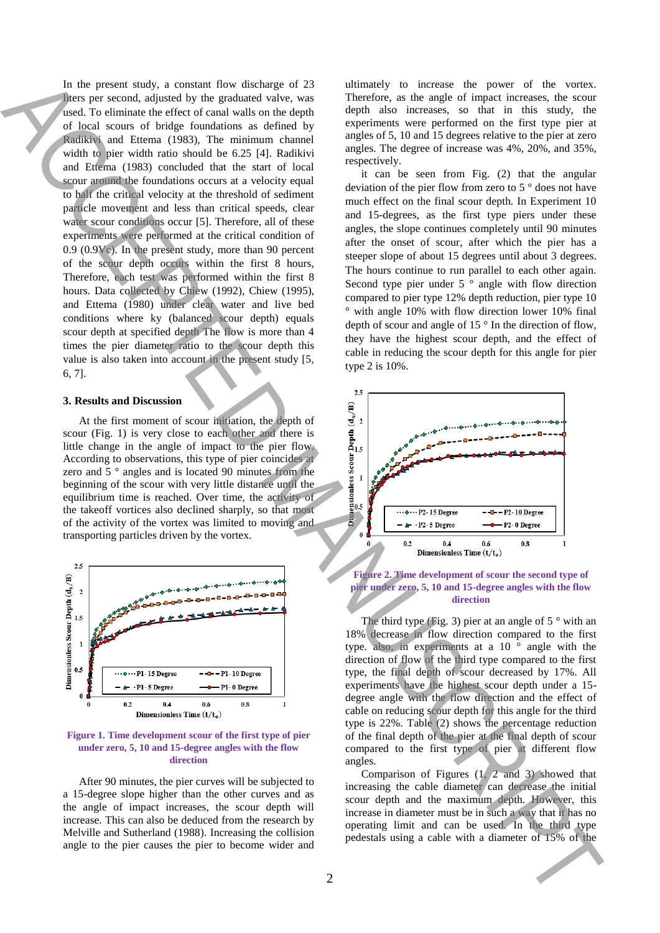In the present study, a constant flow discharge of 23 liters per second, adjusted by the graduated valve, was used. To eliminate the effect of canal walls on the depth of local scours of bridge foundations as defined by Radikivi and Ettema (1983), The minimum channel width to pier width ratio should be 6.25 [4]. Radikivi and Ettema (1983) concluded that the start of local scour around the foundations occurs at a velocity equal to half the critical velocity at the threshold of sediment particle movement and less than critical speeds, clear water scour conditions occur [5]. Therefore, all of these experiments were performed at the critical condition of 0.9 (0.9Vc). In the present study, more than 90 percent of the scour depth occurs within the first 8 hours, Therefore, each test was performed within the first 8 hours. Data collected by Chiew (1992), Chiew (1995), and Ettema (1980) under clear water and live bed conditions where ky (balanced scour depth) equals scour depth at specified depth The flow is more than 4 times the pier diameter ratio to the scour depth this value is also taken into account in the present study [5, 6, 7]. The person with  $\mu$  and the column state of 15% of the signals using the person of the Column state of the ACCEPTE COMPANUSCRIPT ( $\mu$ ) and  $\mu$  and  $\mu$ ) and  $\mu$  and  $\mu$  and  $\mu$  and  $\mu$  and  $\mu$  and  $\mu$  and  $\mu$  an

#### **3. Results and Discussion**

At the first moment of scour initiation, the depth of scour (Fig. 1) is very close to each other and there is little change in the angle of impact to the pier flow. According to observations, this type of pier coincides at zero and 5 ° angles and is located 90 minutes from the beginning of the scour with very little distance until the equilibrium time is reached. Over time, the activity of the takeoff vortices also declined sharply, so that most of the activity of the vortex was limited to moving and transporting particles driven by the vortex.



## **Figure 1. Time development scour of the first type of pier under zero, 5, 10 and 15-degree angles with the flow direction**

After 90 minutes, the pier curves will be subjected to a 15-degree slope higher than the other curves and as the angle of impact increases, the scour depth will increase. This can also be deduced from the research by Melville and Sutherland (1988). Increasing the collision angle to the pier causes the pier to become wider and ultimately to increase the power of the vortex. Therefore, as the angle of impact increases, the scour depth also increases, so that in this study, the experiments were performed on the first type pier at angles of 5, 10 and 15 degrees relative to the pier at zero angles. The degree of increase was 4%, 20%, and 35%, respectively.

it can be seen from Fig. (2) that the angular deviation of the pier flow from zero to 5 ° does not have much effect on the final scour depth. In Experiment 10 and 15-degrees, as the first type piers under these angles, the slope continues completely until 90 minutes after the onset of scour, after which the pier has a steeper slope of about 15 degrees until about 3 degrees. The hours continue to run parallel to each other again. Second type pier under  $5^\circ$  angle with flow direction compared to pier type 12% depth reduction, pier type 10 ° with angle 10% with flow direction lower 10% final depth of scour and angle of 15 ° In the direction of flow, they have the highest scour depth, and the effect of cable in reducing the scour depth for this angle for pier type 2 is 10%.



#### **Figure 2. Time development of scour the second type of pier under zero, 5, 10 and 15-degree angles with the flow direction**

The third type (Fig. 3) pier at an angle of  $5^{\circ}$  with an 18% decrease in flow direction compared to the first type. also, in experiments at a 10 ° angle with the direction of flow of the third type compared to the first type, the final depth of scour decreased by 17%. All experiments have the highest scour depth under a 15 degree angle with the flow direction and the effect of cable on reducing scour depth for this angle for the third type is 22%. Table (2) shows the percentage reduction of the final depth of the pier at the final depth of scour compared to the first type of pier at different flow angles.

Comparison of Figures (1, 2 and 3) showed that increasing the cable diameter can decrease the initial scour depth and the maximum depth. However, this increase in diameter must be in such a way that it has no operating limit and can be used. In the third type